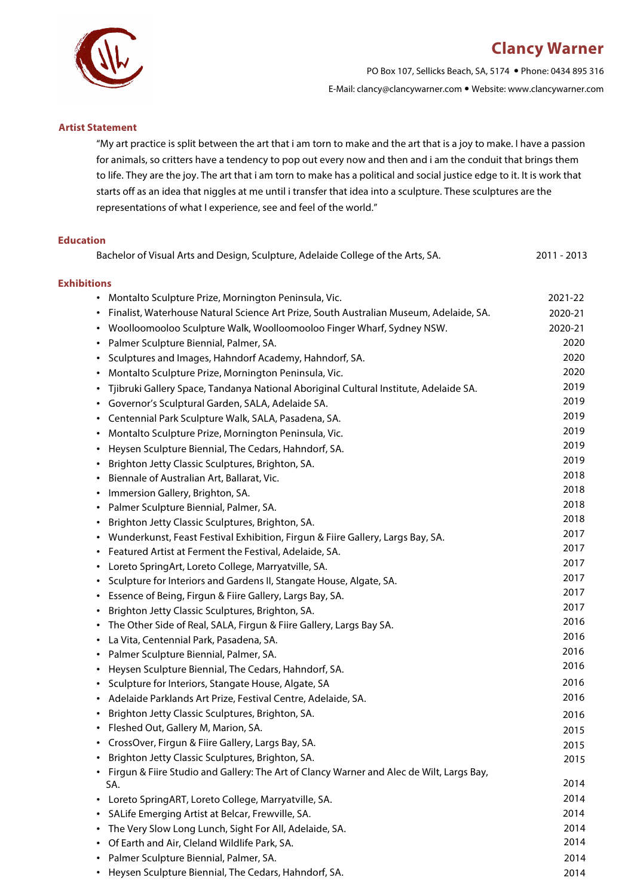### **Clancy Warner**



PO Box 107, Sellicks Beach, SA, 5174 Phone: 0434 895 316

E-Mail: clancy@clancywarner.com Website: www.clancywarner.com

#### **Artist Statement**

"My art practice is split between the art that i am torn to make and the art that is a joy to make. I have a passion for animals, so critters have a tendency to pop out every now and then and i am the conduit that brings them to life. They are the joy. The art that i am torn to make has a political and social justice edge to it. It is work that starts off as an idea that niggles at me until i transfer that idea into a sculpture. These sculptures are the representations of what I experience, see and feel of the world."

#### **Education**

| Bachelor of Visual Arts and Design, Sculpture, Adelaide College of the Arts, SA.                    | 2011 - 2013 |
|-----------------------------------------------------------------------------------------------------|-------------|
| <b>Exhibitions</b>                                                                                  |             |
| • Montalto Sculpture Prize, Mornington Peninsula, Vic.                                              | 2021-22     |
| Finalist, Waterhouse Natural Science Art Prize, South Australian Museum, Adelaide, SA.<br>$\bullet$ | 2020-21     |
| Woolloomooloo Sculpture Walk, Woolloomooloo Finger Wharf, Sydney NSW.<br>$\bullet$                  | 2020-21     |
| Palmer Sculpture Biennial, Palmer, SA.<br>$\bullet$                                                 | 2020        |
| Sculptures and Images, Hahndorf Academy, Hahndorf, SA.<br>$\bullet$                                 | 2020        |
| Montalto Sculpture Prize, Mornington Peninsula, Vic.<br>$\bullet$                                   | 2020        |
| Tjibruki Gallery Space, Tandanya National Aboriginal Cultural Institute, Adelaide SA.<br>$\bullet$  | 2019        |
| Governor's Sculptural Garden, SALA, Adelaide SA.<br>$\bullet$                                       | 2019        |
| Centennial Park Sculpture Walk, SALA, Pasadena, SA.<br>$\bullet$                                    | 2019        |
| Montalto Sculpture Prize, Mornington Peninsula, Vic.<br>$\bullet$                                   | 2019        |
| Heysen Sculpture Biennial, The Cedars, Hahndorf, SA.<br>$\bullet$                                   | 2019        |
| Brighton Jetty Classic Sculptures, Brighton, SA.<br>$\bullet$                                       | 2019        |
| Biennale of Australian Art, Ballarat, Vic.<br>$\bullet$                                             | 2018        |
| Immersion Gallery, Brighton, SA.<br>$\bullet$                                                       | 2018        |
| Palmer Sculpture Biennial, Palmer, SA.<br>$\bullet$                                                 | 2018        |
| Brighton Jetty Classic Sculptures, Brighton, SA.<br>$\bullet$                                       | 2018        |
| Wunderkunst, Feast Festival Exhibition, Firgun & Fiire Gallery, Largs Bay, SA.<br>$\bullet$         | 2017        |
| Featured Artist at Ferment the Festival, Adelaide, SA.<br>$\bullet$                                 | 2017        |
| Loreto SpringArt, Loreto College, Marryatville, SA.<br>$\bullet$                                    | 2017        |
| Sculpture for Interiors and Gardens II, Stangate House, Algate, SA.<br>$\bullet$                    | 2017        |
| Essence of Being, Firgun & Fiire Gallery, Largs Bay, SA.<br>$\bullet$                               | 2017        |
| Brighton Jetty Classic Sculptures, Brighton, SA.<br>$\bullet$                                       | 2017        |
| The Other Side of Real, SALA, Firgun & Fiire Gallery, Largs Bay SA.<br>$\bullet$                    | 2016        |
| La Vita, Centennial Park, Pasadena, SA.<br>$\bullet$                                                | 2016        |
| Palmer Sculpture Biennial, Palmer, SA.<br>$\bullet$                                                 | 2016        |
| Heysen Sculpture Biennial, The Cedars, Hahndorf, SA.<br>$\bullet$                                   | 2016        |
| Sculpture for Interiors, Stangate House, Algate, SA<br>$\bullet$                                    | 2016        |
| Adelaide Parklands Art Prize, Festival Centre, Adelaide, SA.<br>$\bullet$                           | 2016        |
| Brighton Jetty Classic Sculptures, Brighton, SA.<br>$\bullet$                                       | 2016        |
| Fleshed Out, Gallery M, Marion, SA.                                                                 | 2015        |
| CrossOver, Firgun & Fiire Gallery, Largs Bay, SA.<br>$\bullet$                                      | 2015        |
| Brighton Jetty Classic Sculptures, Brighton, SA.<br>$\bullet$                                       | 2015        |
| Firgun & Fiire Studio and Gallery: The Art of Clancy Warner and Alec de Wilt, Largs Bay,            |             |
| SA.                                                                                                 | 2014        |
| Loreto SpringART, Loreto College, Marryatville, SA.<br>٠                                            | 2014        |
| SALife Emerging Artist at Belcar, Frewville, SA.<br>٠                                               | 2014        |
| The Very Slow Long Lunch, Sight For All, Adelaide, SA.<br>$\bullet$                                 | 2014        |
| Of Earth and Air, Cleland Wildlife Park, SA.<br>$\bullet$                                           | 2014        |
| Palmer Sculpture Biennial, Palmer, SA.<br>٠                                                         | 2014        |
| • Heysen Sculpture Biennial, The Cedars, Hahndorf, SA.                                              | 2014        |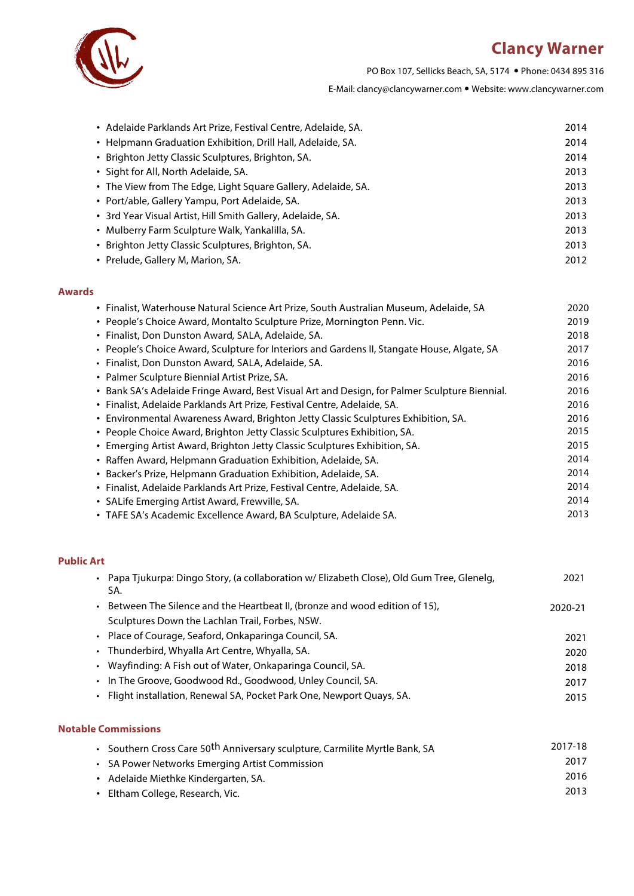# **Clancy Warner**



PO Box 107, Sellicks Beach, SA, 5174 Phone: 0434 895 316

E-Mail: clancy@clancywarner.com Website: www.clancywarner.com

| • Adelaide Parklands Art Prize, Festival Centre, Adelaide, SA. | 2014 |
|----------------------------------------------------------------|------|
| • Helpmann Graduation Exhibition, Drill Hall, Adelaide, SA.    | 2014 |
| • Brighton Jetty Classic Sculptures, Brighton, SA.             | 2014 |
| • Sight for All, North Adelaide, SA.                           | 2013 |
| • The View from The Edge, Light Square Gallery, Adelaide, SA.  | 2013 |
| • Port/able, Gallery Yampu, Port Adelaide, SA.                 | 2013 |
| • 3rd Year Visual Artist, Hill Smith Gallery, Adelaide, SA.    | 2013 |
| • Mulberry Farm Sculpture Walk, Yankalilla, SA.                | 2013 |
| • Brighton Jetty Classic Sculptures, Brighton, SA.             | 2013 |
| • Prelude, Gallery M, Marion, SA.                              | 2012 |

#### **Awards**

| • Finalist, Waterhouse Natural Science Art Prize, South Australian Museum, Adelaide, SA       | 2020 |
|-----------------------------------------------------------------------------------------------|------|
| • People's Choice Award, Montalto Sculpture Prize, Mornington Penn. Vic.                      | 2019 |
| • Finalist, Don Dunston Award, SALA, Adelaide, SA.                                            | 2018 |
| • People's Choice Award, Sculpture for Interiors and Gardens II, Stangate House, Algate, SA   | 2017 |
| · Finalist, Don Dunston Award, SALA, Adelaide, SA.                                            | 2016 |
| • Palmer Sculpture Biennial Artist Prize, SA.                                                 | 2016 |
| • Bank SA's Adelaide Fringe Award, Best Visual Art and Design, for Palmer Sculpture Biennial. | 2016 |
| · Finalist, Adelaide Parklands Art Prize, Festival Centre, Adelaide, SA.                      | 2016 |
| • Environmental Awareness Award, Brighton Jetty Classic Sculptures Exhibition, SA.            | 2016 |
| • People Choice Award, Brighton Jetty Classic Sculptures Exhibition, SA.                      | 2015 |
| • Emerging Artist Award, Brighton Jetty Classic Sculptures Exhibition, SA.                    | 2015 |
| • Raffen Award, Helpmann Graduation Exhibition, Adelaide, SA.                                 | 2014 |
| • Backer's Prize, Helpmann Graduation Exhibition, Adelaide, SA.                               | 2014 |
| • Finalist, Adelaide Parklands Art Prize, Festival Centre, Adelaide, SA.                      | 2014 |
| • SALife Emerging Artist Award, Frewville, SA.                                                | 2014 |
| • TAFE SA's Academic Excellence Award, BA Sculpture, Adelaide SA.                             | 2013 |
|                                                                                               |      |

#### **Public Art**

| • Papa Tjukurpa: Dingo Story, (a collaboration w/ Elizabeth Close), Old Gum Tree, Glenelg,<br>SA. | 2021    |
|---------------------------------------------------------------------------------------------------|---------|
| • Between The Silence and the Heartbeat II, (bronze and wood edition of 15),                      | 2020-21 |
| Sculptures Down the Lachlan Trail, Forbes, NSW.                                                   |         |
| • Place of Courage, Seaford, Onkaparinga Council, SA.                                             | 2021    |
| • Thunderbird, Whyalla Art Centre, Whyalla, SA.                                                   | 2020    |
| • Wayfinding: A Fish out of Water, Onkaparinga Council, SA.                                       | 2018    |
| • In The Groove, Goodwood Rd., Goodwood, Unley Council, SA.                                       | 2017    |
| · Flight installation, Renewal SA, Pocket Park One, Newport Quays, SA.                            | 2015    |
|                                                                                                   |         |
| <b>Notable Commissions</b>                                                                        |         |

| • Southern Cross Care 50 <sup>th</sup> Anniversary sculpture, Carmilite Myrtle Bank, SA | 2017-18 |
|-----------------------------------------------------------------------------------------|---------|
| • SA Power Networks Emerging Artist Commission                                          | 2017    |
| • Adelaide Miethke Kindergarten, SA.                                                    | 2016    |
| • Eltham College, Research, Vic.                                                        | 2013    |